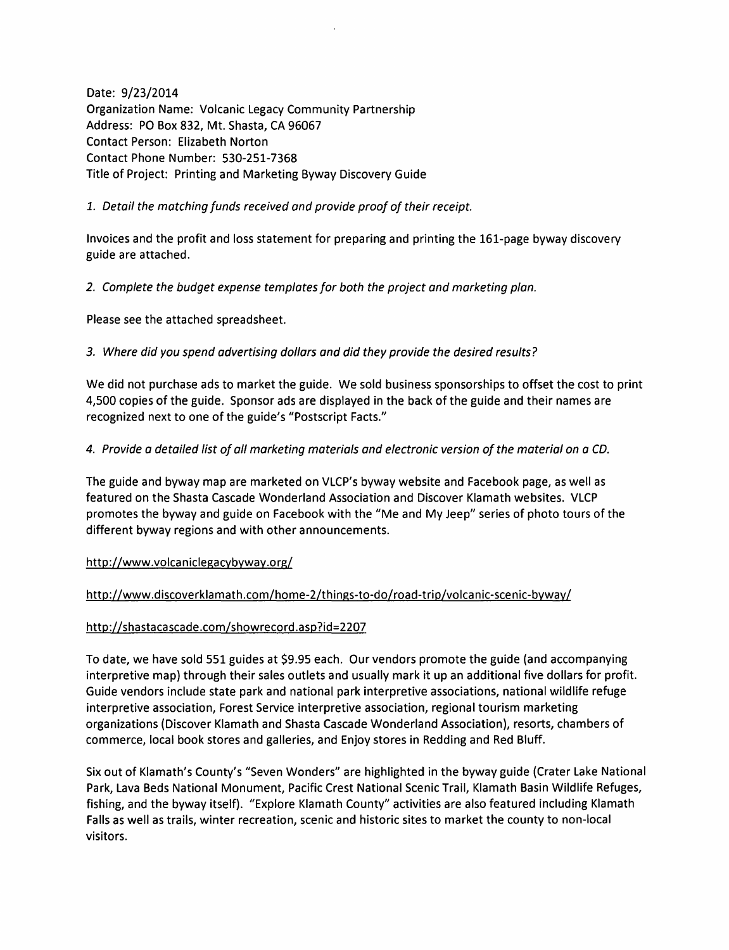Date: 9/23/2014 Organization Name: Volcanic Legacy Community Partnership Address: PO Box 832, Mt. Shasta, CA 96067 Contact Person: Elizabeth Norton Contact Phone Number: 530-251-7368 Title of Project: Printing and Marketing Byway Discovery Guide

1. Detail the matching funds received and provide proof of their receipt.

Invoices and the profit and loss statement for preparing and printing the 161-page byway discovery guide are attached.

2. Complete the budget expense templates for both the project and marketing plan.

Please see the attached spreadsheet.

3. Where did you spend advertising dollars and did they provide the desired results?

We did not purchase ads to market the guide. We sold business sponsorships to offset the cost to print 4,500 copies of the guide. Sponsor ads are displayed in the back of the guide and their names are recognized next to one of the guide's "Postscript Facts."

4. Provide a detailed list of all marketing materials and electronic version of the material on a CD.

The guide and byway map are marketed on VLCP's byway website and Facebook page, as well as featured on the Shasta Cascade Wonderland Association and Discover Klamath websites. VLCP promotes the byway and guide on Facebook with the "Me and My Jeep" series of photo tours of the different byway regions and with other announcements.

http://www.volcaniclegacybyway.org/

http://www.discoverklamath.com/home-2/things-to-do/road-trip/volcanic-scenic-byway/

## http://shastacascade.com/showrecord.asp?id=2207

To date, we have sold 551 guides at \$9.95 each. Our vendors promote the guide (and accompanying interpretive map) through their sales outlets and usually mark it up an additional five dollars for profit. Guide vendors include state park and national park interpretive associations, national wildlife refuge interpretive association, Forest Service interpretive association, regional tourism marketing organizations (Discover Klamath and Shasta Cascade Wonderland Association), resorts, chambers of commerce, local book stores and galleries, and Enjoy stores in Redding and Red Bluff.

Six out of Klamath's County's "Seven Wonders" are highlighted in the byway guide (Crater Lake National Park, Lava Beds National Monument, Pacific Crest National Scenic Trail, Klamath Basin Wildlife Refuges, fishing, and the byway itself). "Explore Klamath County" activities are also featured including Klamath Falls as well as trails, winter recreation, scenic and historic sites to market the county to non-local visitors.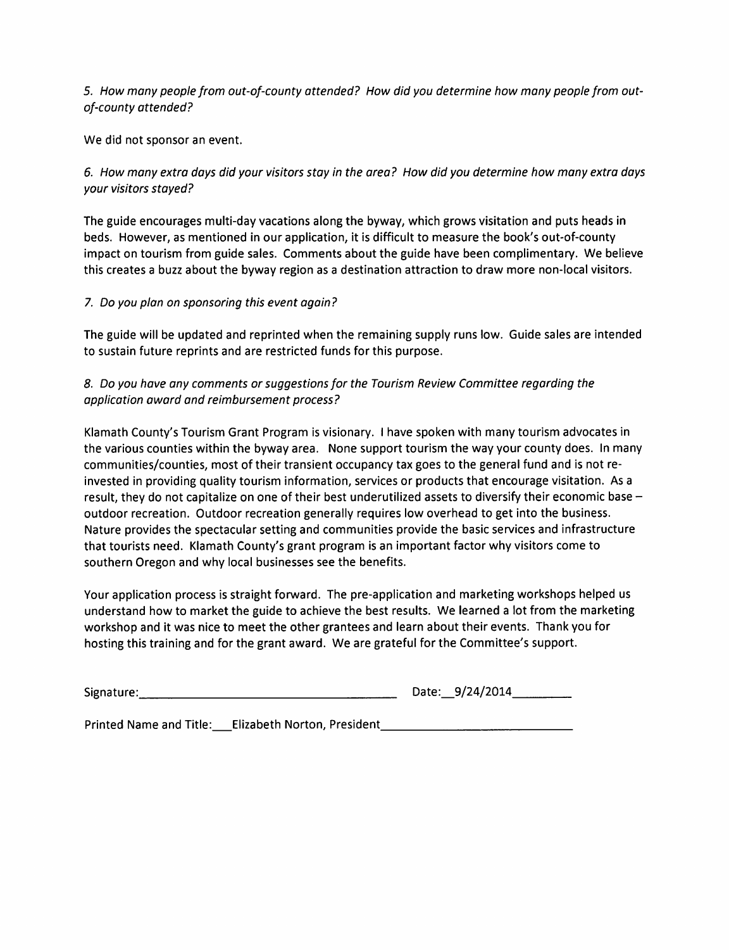5. How many people from out-of-county attended? How did you determine how many people from outof-county attended?

We did not sponsor an event.

6. How many extra days did your visitors stay in the area? How did you determine how many extra days your visitors stayed?

The guide encourages multi-day vacations along the byway, which grows visitation and puts heads in beds. However, as mentioned in our application, it is difficult to measure the book's out-of-county impact on tourism from guide sales. Comments about the guide have been complimentary. We believe this creates a buzz about the byway region as a destination attraction to draw more non-local visitors.

## 7. Do you plan on sponsoring this event again?

The guide will be updated and reprinted when the remaining supply runs low. Guide sales are intended to sustain future reprints and are restricted funds for this purpose.

# 8. Do you have any comments or suggestions for the Tourism Review Committee regarding the application award and reimbursement process?

Klamath County's Tourism Grant Program is visionary. I have spoken with many tourism advocates in the various counties within the byway area. None support tourism the way your county does. In many communities/counties, most of their transient occupancy tax goes to the general fund and is not reinvested in providing quality tourism information, services or products that encourage visitation. As a result, they do not capitalize on one of their best underutilized assets to diversify their economic base outdoor recreation. Outdoor recreation generally requires low overhead to get into the business. Nature provides the spectacular setting and communities provide the basic services and infrastructure that tourists need. Klamath County's grant program is an important factor why visitors come to southern Oregon and why local businesses see the benefits.

Your application process is straight forward. The pre-application and marketing workshops helped us understand how to market the guide to achieve the best results. We learned a lot from the marketing workshop and it was nice to meet the other grantees and learn about their events. Thank you for hosting this training and for the grant award. We are grateful for the Committee's support.

| Signature: | Date: 9/24/2014 |
|------------|-----------------|
|            |                 |

Printed Name and Title: Elizabeth Norton, President\_\_\_\_\_\_\_\_\_\_